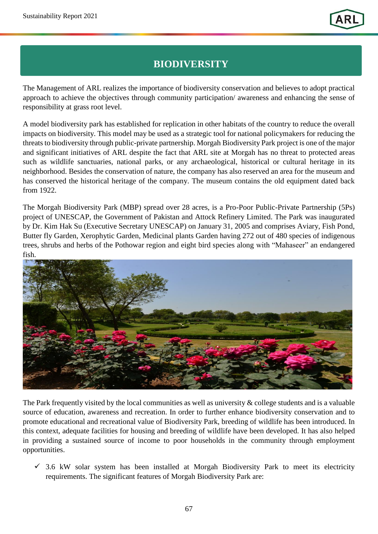## **BIODIVERSITY**

The Management of ARL realizes the importance of biodiversity conservation and believes to adopt practical approach to achieve the objectives through community participation/ awareness and enhancing the sense of responsibility at grass root level.

A model biodiversity park has established for replication in other habitats of the country to reduce the overall impacts on biodiversity. This model may be used as a strategic tool for national policymakers for reducing the threats to biodiversity through public-private partnership. Morgah Biodiversity Park project is one of the major and significant initiatives of ARL despite the fact that ARL site at Morgah has no threat to protected areas such as wildlife sanctuaries, national parks, or any archaeological, historical or cultural heritage in its neighborhood. Besides the conservation of nature, the company has also reserved an area for the museum and has conserved the historical heritage of the company. The museum contains the old equipment dated back from 1922.

The Morgah Biodiversity Park (MBP) spread over 28 acres, is a Pro-Poor Public-Private Partnership (5Ps) project of UNESCAP, the Government of Pakistan and Attock Refinery Limited. The Park was inaugurated by Dr. Kim Hak Su (Executive Secretary UNESCAP) on January 31, 2005 and comprises Aviary, Fish Pond, Butter fly Garden, Xerophytic Garden, Medicinal plants Garden having 272 out of 480 species of indigenous trees, shrubs and herbs of the Pothowar region and eight bird species along with "Mahaseer" an endangered fish.



The Park frequently visited by the local communities as well as university & college students and is a valuable source of education, awareness and recreation. In order to further enhance biodiversity conservation and to promote educational and recreational value of Biodiversity Park, breeding of wildlife has been introduced. In this context, adequate facilities for housing and breeding of wildlife have been developed. It has also helped in providing a sustained source of income to poor households in the community through employment opportunities.

 $\checkmark$  3.6 kW solar system has been installed at Morgah Biodiversity Park to meet its electricity requirements. The significant features of Morgah Biodiversity Park are: